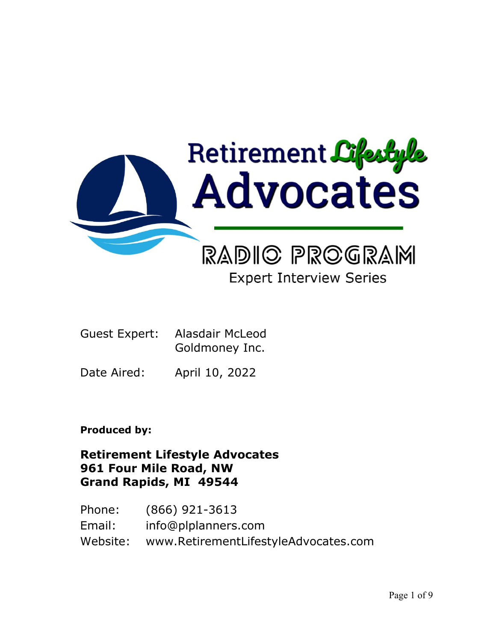

# **Expert Interview Series**

| Guest Expert: Alasdair McLeod |
|-------------------------------|
| Goldmoney Inc.                |

Date Aired: April 10, 2022

**Produced by:**

**Retirement Lifestyle Advocates 961 Four Mile Road, NW Grand Rapids, MI 49544**

Phone: (866) 921-3613 Email: info@plplanners.com Website: www.RetirementLifestyleAdvocates.com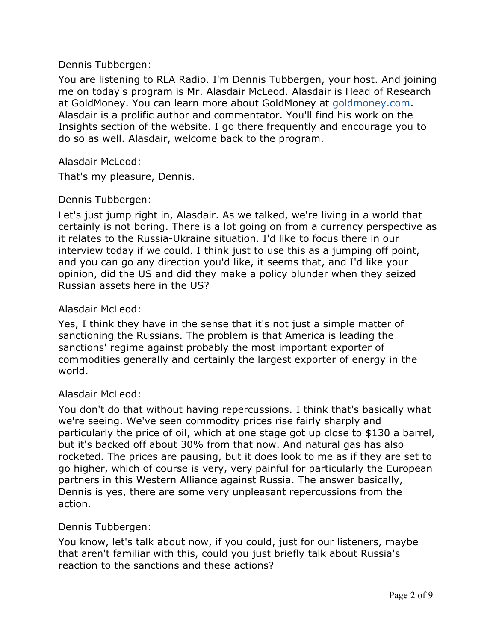#### Dennis Tubbergen:

You are listening to RLA Radio. I'm Dennis Tubbergen, your host. And joining me on today's program is Mr. Alasdair McLeod. Alasdair is Head of Research at GoldMoney. You can learn more about GoldMoney at [goldmoney.com.](https://www.goldmoney.com/) Alasdair is a prolific author and commentator. You'll find his work on the Insights section of the website. I go there frequently and encourage you to do so as well. Alasdair, welcome back to the program.

#### Alasdair McLeod:

That's my pleasure, Dennis.

#### Dennis Tubbergen:

Let's just jump right in, Alasdair. As we talked, we're living in a world that certainly is not boring. There is a lot going on from a currency perspective as it relates to the Russia-Ukraine situation. I'd like to focus there in our interview today if we could. I think just to use this as a jumping off point, and you can go any direction you'd like, it seems that, and I'd like your opinion, did the US and did they make a policy blunder when they seized Russian assets here in the US?

#### Alasdair McLeod:

Yes, I think they have in the sense that it's not just a simple matter of sanctioning the Russians. The problem is that America is leading the sanctions' regime against probably the most important exporter of commodities generally and certainly the largest exporter of energy in the world.

## Alasdair McLeod:

You don't do that without having repercussions. I think that's basically what we're seeing. We've seen commodity prices rise fairly sharply and particularly the price of oil, which at one stage got up close to \$130 a barrel, but it's backed off about 30% from that now. And natural gas has also rocketed. The prices are pausing, but it does look to me as if they are set to go higher, which of course is very, very painful for particularly the European partners in this Western Alliance against Russia. The answer basically, Dennis is yes, there are some very unpleasant repercussions from the action.

## Dennis Tubbergen:

You know, let's talk about now, if you could, just for our listeners, maybe that aren't familiar with this, could you just briefly talk about Russia's reaction to the sanctions and these actions?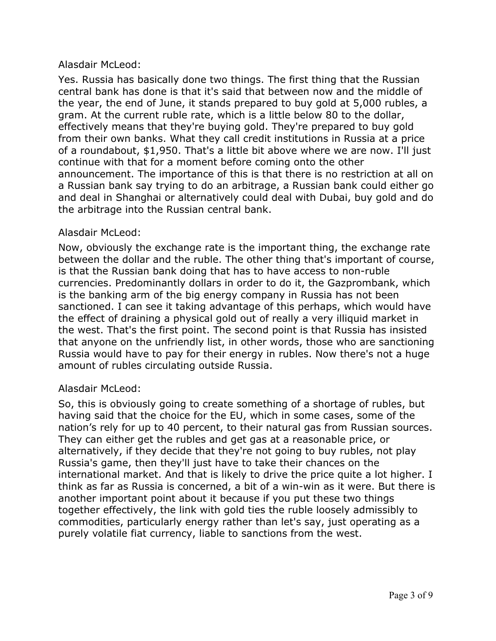Yes. Russia has basically done two things. The first thing that the Russian central bank has done is that it's said that between now and the middle of the year, the end of June, it stands prepared to buy gold at 5,000 rubles, a gram. At the current ruble rate, which is a little below 80 to the dollar, effectively means that they're buying gold. They're prepared to buy gold from their own banks. What they call credit institutions in Russia at a price of a roundabout, \$1,950. That's a little bit above where we are now. I'll just continue with that for a moment before coming onto the other announcement. The importance of this is that there is no restriction at all on a Russian bank say trying to do an arbitrage, a Russian bank could either go and deal in Shanghai or alternatively could deal with Dubai, buy gold and do the arbitrage into the Russian central bank.

# Alasdair McLeod:

Now, obviously the exchange rate is the important thing, the exchange rate between the dollar and the ruble. The other thing that's important of course, is that the Russian bank doing that has to have access to non-ruble currencies. Predominantly dollars in order to do it, the Gazprombank, which is the banking arm of the big energy company in Russia has not been sanctioned. I can see it taking advantage of this perhaps, which would have the effect of draining a physical gold out of really a very illiquid market in the west. That's the first point. The second point is that Russia has insisted that anyone on the unfriendly list, in other words, those who are sanctioning Russia would have to pay for their energy in rubles. Now there's not a huge amount of rubles circulating outside Russia.

# Alasdair McLeod:

So, this is obviously going to create something of a shortage of rubles, but having said that the choice for the EU, which in some cases, some of the nation's rely for up to 40 percent, to their natural gas from Russian sources. They can either get the rubles and get gas at a reasonable price, or alternatively, if they decide that they're not going to buy rubles, not play Russia's game, then they'll just have to take their chances on the international market. And that is likely to drive the price quite a lot higher. I think as far as Russia is concerned, a bit of a win-win as it were. But there is another important point about it because if you put these two things together effectively, the link with gold ties the ruble loosely admissibly to commodities, particularly energy rather than let's say, just operating as a purely volatile fiat currency, liable to sanctions from the west.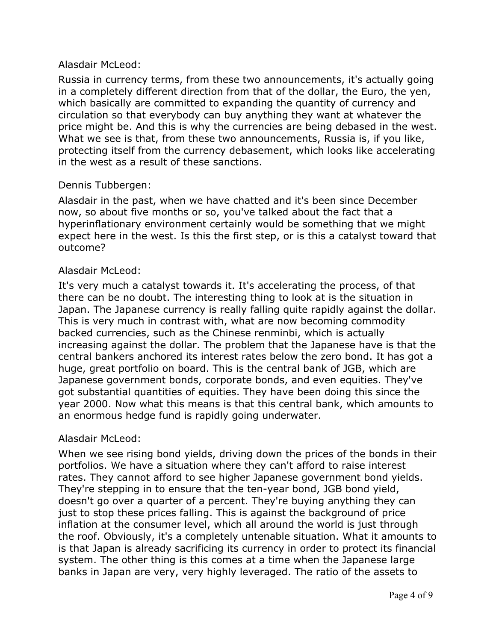Russia in currency terms, from these two announcements, it's actually going in a completely different direction from that of the dollar, the Euro, the yen, which basically are committed to expanding the quantity of currency and circulation so that everybody can buy anything they want at whatever the price might be. And this is why the currencies are being debased in the west. What we see is that, from these two announcements, Russia is, if you like, protecting itself from the currency debasement, which looks like accelerating in the west as a result of these sanctions.

# Dennis Tubbergen:

Alasdair in the past, when we have chatted and it's been since December now, so about five months or so, you've talked about the fact that a hyperinflationary environment certainly would be something that we might expect here in the west. Is this the first step, or is this a catalyst toward that outcome?

# Alasdair McLeod:

It's very much a catalyst towards it. It's accelerating the process, of that there can be no doubt. The interesting thing to look at is the situation in Japan. The Japanese currency is really falling quite rapidly against the dollar. This is very much in contrast with, what are now becoming commodity backed currencies, such as the Chinese renminbi, which is actually increasing against the dollar. The problem that the Japanese have is that the central bankers anchored its interest rates below the zero bond. It has got a huge, great portfolio on board. This is the central bank of JGB, which are Japanese government bonds, corporate bonds, and even equities. They've got substantial quantities of equities. They have been doing this since the year 2000. Now what this means is that this central bank, which amounts to an enormous hedge fund is rapidly going underwater.

## Alasdair McLeod:

When we see rising bond yields, driving down the prices of the bonds in their portfolios. We have a situation where they can't afford to raise interest rates. They cannot afford to see higher Japanese government bond yields. They're stepping in to ensure that the ten-year bond, JGB bond yield, doesn't go over a quarter of a percent. They're buying anything they can just to stop these prices falling. This is against the background of price inflation at the consumer level, which all around the world is just through the roof. Obviously, it's a completely untenable situation. What it amounts to is that Japan is already sacrificing its currency in order to protect its financial system. The other thing is this comes at a time when the Japanese large banks in Japan are very, very highly leveraged. The ratio of the assets to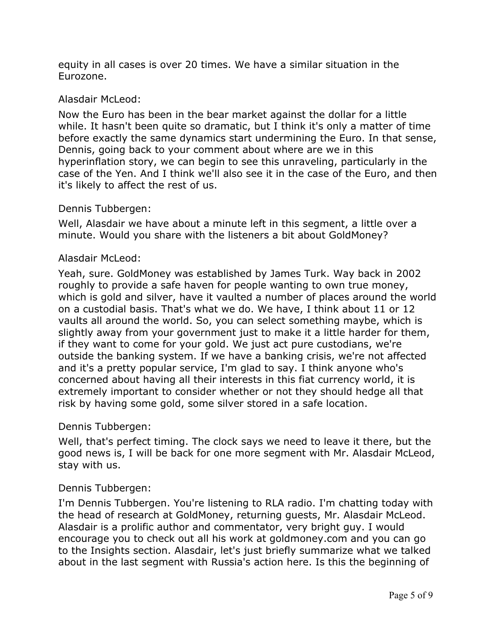equity in all cases is over 20 times. We have a similar situation in the Eurozone.

## Alasdair McLeod:

Now the Euro has been in the bear market against the dollar for a little while. It hasn't been quite so dramatic, but I think it's only a matter of time before exactly the same dynamics start undermining the Euro. In that sense, Dennis, going back to your comment about where are we in this hyperinflation story, we can begin to see this unraveling, particularly in the case of the Yen. And I think we'll also see it in the case of the Euro, and then it's likely to affect the rest of us.

#### Dennis Tubbergen:

Well, Alasdair we have about a minute left in this segment, a little over a minute. Would you share with the listeners a bit about GoldMoney?

#### Alasdair McLeod:

Yeah, sure. GoldMoney was established by James Turk. Way back in 2002 roughly to provide a safe haven for people wanting to own true money, which is gold and silver, have it vaulted a number of places around the world on a custodial basis. That's what we do. We have, I think about 11 or 12 vaults all around the world. So, you can select something maybe, which is slightly away from your government just to make it a little harder for them, if they want to come for your gold. We just act pure custodians, we're outside the banking system. If we have a banking crisis, we're not affected and it's a pretty popular service, I'm glad to say. I think anyone who's concerned about having all their interests in this fiat currency world, it is extremely important to consider whether or not they should hedge all that risk by having some gold, some silver stored in a safe location.

#### Dennis Tubbergen:

Well, that's perfect timing. The clock says we need to leave it there, but the good news is, I will be back for one more segment with Mr. Alasdair McLeod, stay with us.

#### Dennis Tubbergen:

I'm Dennis Tubbergen. You're listening to RLA radio. I'm chatting today with the head of research at GoldMoney, returning guests, Mr. Alasdair McLeod. Alasdair is a prolific author and commentator, very bright guy. I would encourage you to check out all his work at goldmoney.com and you can go to the Insights section. Alasdair, let's just briefly summarize what we talked about in the last segment with Russia's action here. Is this the beginning of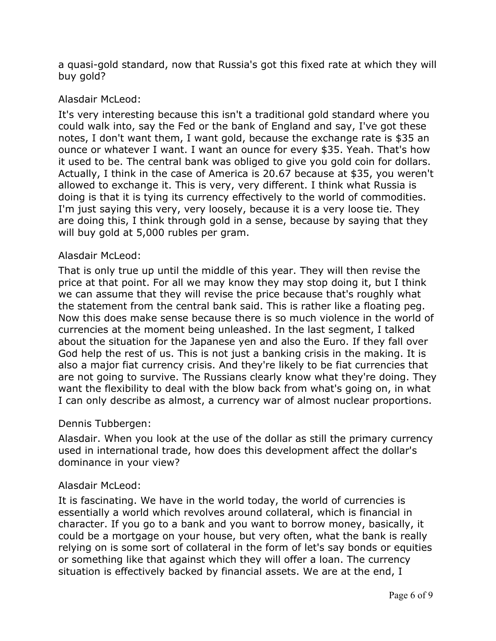a quasi-gold standard, now that Russia's got this fixed rate at which they will buy gold?

# Alasdair McLeod:

It's very interesting because this isn't a traditional gold standard where you could walk into, say the Fed or the bank of England and say, I've got these notes, I don't want them, I want gold, because the exchange rate is \$35 an ounce or whatever I want. I want an ounce for every \$35. Yeah. That's how it used to be. The central bank was obliged to give you gold coin for dollars. Actually, I think in the case of America is 20.67 because at \$35, you weren't allowed to exchange it. This is very, very different. I think what Russia is doing is that it is tying its currency effectively to the world of commodities. I'm just saying this very, very loosely, because it is a very loose tie. They are doing this, I think through gold in a sense, because by saying that they will buy gold at 5,000 rubles per gram.

## Alasdair McLeod:

That is only true up until the middle of this year. They will then revise the price at that point. For all we may know they may stop doing it, but I think we can assume that they will revise the price because that's roughly what the statement from the central bank said. This is rather like a floating peg. Now this does make sense because there is so much violence in the world of currencies at the moment being unleashed. In the last segment, I talked about the situation for the Japanese yen and also the Euro. If they fall over God help the rest of us. This is not just a banking crisis in the making. It is also a major fiat currency crisis. And they're likely to be fiat currencies that are not going to survive. The Russians clearly know what they're doing. They want the flexibility to deal with the blow back from what's going on, in what I can only describe as almost, a currency war of almost nuclear proportions.

## Dennis Tubbergen:

Alasdair. When you look at the use of the dollar as still the primary currency used in international trade, how does this development affect the dollar's dominance in your view?

## Alasdair McLeod:

It is fascinating. We have in the world today, the world of currencies is essentially a world which revolves around collateral, which is financial in character. If you go to a bank and you want to borrow money, basically, it could be a mortgage on your house, but very often, what the bank is really relying on is some sort of collateral in the form of let's say bonds or equities or something like that against which they will offer a loan. The currency situation is effectively backed by financial assets. We are at the end, I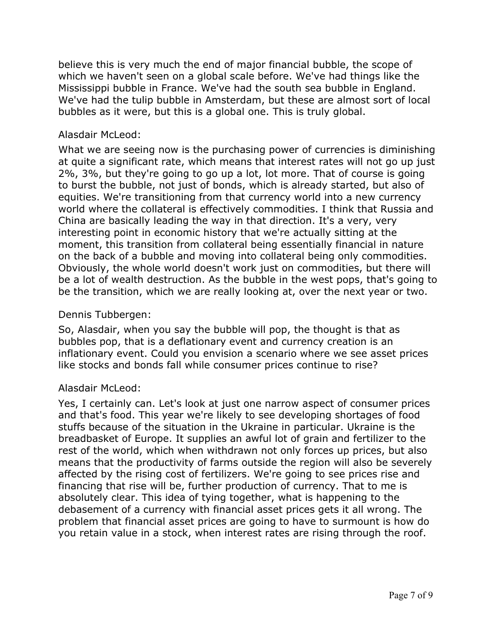believe this is very much the end of major financial bubble, the scope of which we haven't seen on a global scale before. We've had things like the Mississippi bubble in France. We've had the south sea bubble in England. We've had the tulip bubble in Amsterdam, but these are almost sort of local bubbles as it were, but this is a global one. This is truly global.

## Alasdair McLeod:

What we are seeing now is the purchasing power of currencies is diminishing at quite a significant rate, which means that interest rates will not go up just 2%, 3%, but they're going to go up a lot, lot more. That of course is going to burst the bubble, not just of bonds, which is already started, but also of equities. We're transitioning from that currency world into a new currency world where the collateral is effectively commodities. I think that Russia and China are basically leading the way in that direction. It's a very, very interesting point in economic history that we're actually sitting at the moment, this transition from collateral being essentially financial in nature on the back of a bubble and moving into collateral being only commodities. Obviously, the whole world doesn't work just on commodities, but there will be a lot of wealth destruction. As the bubble in the west pops, that's going to be the transition, which we are really looking at, over the next year or two.

## Dennis Tubbergen:

So, Alasdair, when you say the bubble will pop, the thought is that as bubbles pop, that is a deflationary event and currency creation is an inflationary event. Could you envision a scenario where we see asset prices like stocks and bonds fall while consumer prices continue to rise?

## Alasdair McLeod:

Yes, I certainly can. Let's look at just one narrow aspect of consumer prices and that's food. This year we're likely to see developing shortages of food stuffs because of the situation in the Ukraine in particular. Ukraine is the breadbasket of Europe. It supplies an awful lot of grain and fertilizer to the rest of the world, which when withdrawn not only forces up prices, but also means that the productivity of farms outside the region will also be severely affected by the rising cost of fertilizers. We're going to see prices rise and financing that rise will be, further production of currency. That to me is absolutely clear. This idea of tying together, what is happening to the debasement of a currency with financial asset prices gets it all wrong. The problem that financial asset prices are going to have to surmount is how do you retain value in a stock, when interest rates are rising through the roof.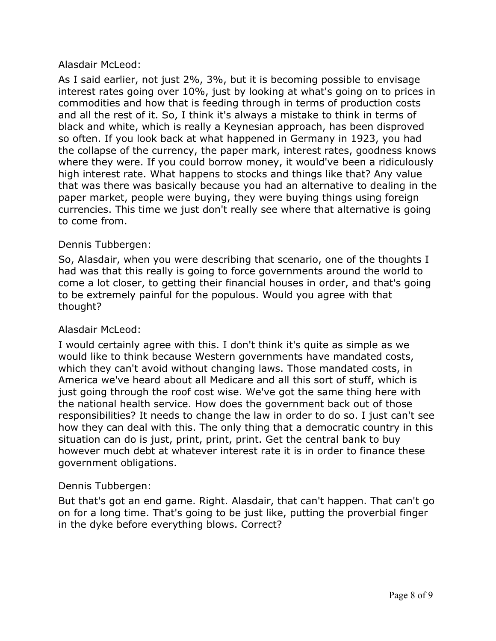As I said earlier, not just 2%, 3%, but it is becoming possible to envisage interest rates going over 10%, just by looking at what's going on to prices in commodities and how that is feeding through in terms of production costs and all the rest of it. So, I think it's always a mistake to think in terms of black and white, which is really a Keynesian approach, has been disproved so often. If you look back at what happened in Germany in 1923, you had the collapse of the currency, the paper mark, interest rates, goodness knows where they were. If you could borrow money, it would've been a ridiculously high interest rate. What happens to stocks and things like that? Any value that was there was basically because you had an alternative to dealing in the paper market, people were buying, they were buying things using foreign currencies. This time we just don't really see where that alternative is going to come from.

# Dennis Tubbergen:

So, Alasdair, when you were describing that scenario, one of the thoughts I had was that this really is going to force governments around the world to come a lot closer, to getting their financial houses in order, and that's going to be extremely painful for the populous. Would you agree with that thought?

## Alasdair McLeod:

I would certainly agree with this. I don't think it's quite as simple as we would like to think because Western governments have mandated costs, which they can't avoid without changing laws. Those mandated costs, in America we've heard about all Medicare and all this sort of stuff, which is just going through the roof cost wise. We've got the same thing here with the national health service. How does the government back out of those responsibilities? It needs to change the law in order to do so. I just can't see how they can deal with this. The only thing that a democratic country in this situation can do is just, print, print, print. Get the central bank to buy however much debt at whatever interest rate it is in order to finance these government obligations.

# Dennis Tubbergen:

But that's got an end game. Right. Alasdair, that can't happen. That can't go on for a long time. That's going to be just like, putting the proverbial finger in the dyke before everything blows. Correct?